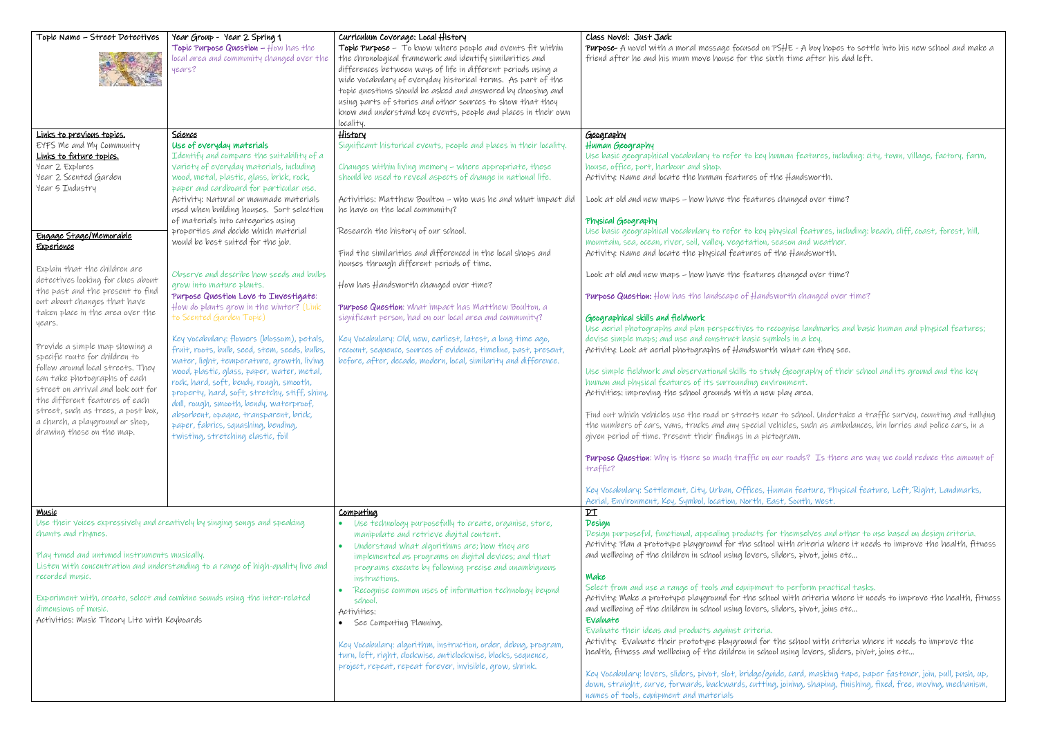| Topic Name - Street Detectives                                                                                                                                                                                                                                                                                                                                                                                                                                                                                                                                                                                                                                                                         | Year Group - Year 2 Spring 1<br>Topic Purpose Question - How has the<br>local area and community changed over the<br>years?                                                                                                                                                                                                                                                                                                                                                                                                                                                                                                                                                                                                                                                                                                                                                                                                                                                                                                                                                     | Curriculum Coverage: Local History<br>Topic Purpose - To know where people and events fit within<br>the chronological framework and identify similarities and<br>differences between ways of life in different periods using a<br>wide vocabulary of everyday historical terms. As part of the<br>topic questions should be asked and answered by choosing and<br>using parts of stories and other sources to show that they<br>know and understand key events, people and places in their own<br>locality.                                                                                                                                                                                                                                                                                                                                  | Class Novel: Just Jack<br>Purpose- A novel with a moral message focused on PSHE -<br>friend after he and his mum move house for the sixth tim                                                                                                                                                                                                                                                                                                                                                                                                                                                                                                                                                                                                                                                                                                                                                                                                                                                                                                                                                                                                                                                                                                                                                                    |
|--------------------------------------------------------------------------------------------------------------------------------------------------------------------------------------------------------------------------------------------------------------------------------------------------------------------------------------------------------------------------------------------------------------------------------------------------------------------------------------------------------------------------------------------------------------------------------------------------------------------------------------------------------------------------------------------------------|---------------------------------------------------------------------------------------------------------------------------------------------------------------------------------------------------------------------------------------------------------------------------------------------------------------------------------------------------------------------------------------------------------------------------------------------------------------------------------------------------------------------------------------------------------------------------------------------------------------------------------------------------------------------------------------------------------------------------------------------------------------------------------------------------------------------------------------------------------------------------------------------------------------------------------------------------------------------------------------------------------------------------------------------------------------------------------|----------------------------------------------------------------------------------------------------------------------------------------------------------------------------------------------------------------------------------------------------------------------------------------------------------------------------------------------------------------------------------------------------------------------------------------------------------------------------------------------------------------------------------------------------------------------------------------------------------------------------------------------------------------------------------------------------------------------------------------------------------------------------------------------------------------------------------------------|------------------------------------------------------------------------------------------------------------------------------------------------------------------------------------------------------------------------------------------------------------------------------------------------------------------------------------------------------------------------------------------------------------------------------------------------------------------------------------------------------------------------------------------------------------------------------------------------------------------------------------------------------------------------------------------------------------------------------------------------------------------------------------------------------------------------------------------------------------------------------------------------------------------------------------------------------------------------------------------------------------------------------------------------------------------------------------------------------------------------------------------------------------------------------------------------------------------------------------------------------------------------------------------------------------------|
| Links to previous topics.<br>EYFS Me and My Community<br>Links to future topics.<br>Year 2 Explores<br>Year 2 Scented Garden<br>Year 5 Industry<br>Engage Stage/Memorable<br>Experience<br>Explain that the children are<br>detectives looking for clues about<br>the past and the present to find<br>out about changes that have<br>taken place in the area over the<br>years.<br>Provide a simple map showing a<br>specific route for children to<br>follow around local streets. They<br>can take photographs of each<br>street on arrival and look out for<br>the different features of each<br>street, such as trees, a post box,<br>a church, a playground or shop,<br>drawing these on the map. | Science<br>Use of everyday materials<br>Identify and compare the suitability of a<br>variety of everyday materials, including<br>wood, metal, plastic, glass, brick, rock,<br>paper and cardboard for particular use.<br>Activity: Natural or manmade materials<br>used when building houses. Sort selection<br>of materials into categories using<br>properties and decide which material<br>would be best suited for the job.<br>Observe and describe how seeds and bulbs<br>grow into mature plants.<br>Purpose Question Love to Investigate:<br>How do plants grow in the winter? (Link<br>to Scented Garden Topic)<br>Key vocabulary: flowers (blossom), petals,<br>fruit, roots, bulb, seed, stem, seeds, bulbs,<br>water, light, temperature, growth, living<br>wood, plastic, glass, paper, water, metal,<br>rock, hard, soft, bendy, rough, smooth,<br>property, hard, soft, stretchy, stiff, shiny,<br>dull, rough, smooth, bendy, waterproof,<br>absorbent, opaque, transparent, brick,<br>paper, fabrics, squashing, bending,<br>twisting, stretching elastic, foil | <u>History</u><br>Significant historical events, people and places in their locality.<br>Changes within living memory - where appropriate, these<br>should be used to reveal aspects of change in national life.<br>Activities: Matthew Boulton - who was he and what impact did<br>he have on the local community?<br>Research the history of our school.<br>Find the similarities and differenced in the local shops and<br>houses through different periods of time.<br>How has Handsworth changed over time?<br>Purpose Question: What impact has Matthew Boulton, a<br>significant person, had on our local area and community?<br>Key Vocabulary: Old, new, earliest, latest, a long time ago,<br>recount, sequence, sources of evidence, timeline, past, present,<br>before, after, decade, modern, local, similarity and difference. | <u>Geography</u><br>Human Geography<br>Use basic geographical vocabulary to refer to key human f<br>house, office, port, harbour and shop.<br>Activity: Name and locate the human features of the Han<br>Look at old and new maps - how have the features chang<br>Physical Geography<br>Use basic geographical vocabulary to refer to key physical<br>mountain, sea, ocean, river, soil, valley, vegetation, season a<br>Activity: Name and locate the physical features of the $Ha$<br>Look at old and new maps - how have the features chang<br><b>Purpose Question:</b> How has the landscape of Handsworth of<br>Geographical skills and fieldwork<br>Use aerial photographs and plan perspectives to recognise<br>devise simple maps; and use and construct basic symbols in<br>Activity: Look at aerial photographs of Handsworth what<br>Use simple fieldwork and observational skills to study Geod<br>human and physical features of its surrounding environment<br>Activities: improving the school grounds with a new play a<br>Find out which vehicles use the road or streets near to scl<br>the numbers of cars, vans, trucks and any special vehicles,<br>given period of time. Present their findings in a pictogram.<br>Purpose Question: Why is there so much traffic on our road<br>traffic? |
| <u>Music</u><br>Use their voices expressively and creatively by singing songs and speaking<br>chants and rhymes.<br>Play tuned and untuned instruments musically.<br>Listen with concentration and understanding to a range of high-quality live and<br>recorded music.<br>Experiment with, create, select and combine sounds using the inter-related<br>dimensions of music.<br>Activities: Music Theory Lite with Keyboards                                                                                                                                                                                                                                                                          |                                                                                                                                                                                                                                                                                                                                                                                                                                                                                                                                                                                                                                                                                                                                                                                                                                                                                                                                                                                                                                                                                 | Computing<br>Use technology purposefully to create, organise, store,<br>manipulate and retrieve digital content.<br>Understand what algorithms are; how they are<br>$\bullet$<br>implemented as programs on digital devices; and that<br>programs execute by following precise and unambiguous<br>instructions.<br>Recognise common uses of information technology beyond<br>$\bullet$<br>school.<br>Activities:<br>• See Computing Planning.<br>Key Vocabulary: algorithm, instruction, order, debug, program,<br>turn, left, right, clockwise, anticlockwise, blocks, sequence,<br>project, repeat, repeat forever, invisible, grow, shrink.                                                                                                                                                                                               | Key Vocabulary: Settlement, City, Urban, Offices, Human fi<br>Aerial, Environment, Key, Symbol, location, North, East, Sou<br>$p_{\text{T}}$<br>Design<br>Design purposeful, functional, appealing products for them<br>Activity: Plan a prototype playground for the school with a<br>and wellbeing of the children in school using levers, sliders,<br>Make<br>Select from and use a range of tools and equipment to per<br>Activity: Make a prototype playground for the school with<br>and wellbeing of the children in school using levers, sliders,<br>Evaluate<br>Evaluate their ideas and products against criteria.<br>Activity: Evaluate their prototype playground for the sch<br>health, fitness and wellbeing of the children in school using<br>Key Vocabulary: levers, sliders, pivot, slot, bridge/guide, car<br>down, straight, curve, forwards, backwards, cutting, joining<br>names of tools, equipment and materials                                                                                                                                                                                                                                                                                                                                                                         |

 $H$  - A boy hopes to settle into his new school and make a time after his dad left.

## an features, including: city, town, village, factory, farm,

Handsworth.

anged over time?

ical features, including: beach, cliff, coast, forest, hill, son and weather. . Handsworth.

anged over time?

rth changed over time?

uise landmarks and basic human and physical features; des in a key. vhat can they see.

Geography of their school and its ground and the key nment. ay area.

o school. Undertake a traffic survey, counting and tallying  $c$ les, such as ambulances, bin lorries and police cars, in a

roads? Is there are way we could reduce the amount of

an feature, Physical feature, Left, Right, Landmarks, South, West.

hemselves and other to use based on design criteria. ith criteria where it needs to improve the health, fitness ers, pivot, joins etc…

## perform practical tasks.

with criteria where it needs to improve the health, fitness ers, pivot, joins etc…

school with criteria where it needs to improve the sing levers, sliders, pivot, joins etc…

card, masking tape, paper fastener, join, pull, push, up, ining, shaping, finishing, fixed, free, moving, mechanism,